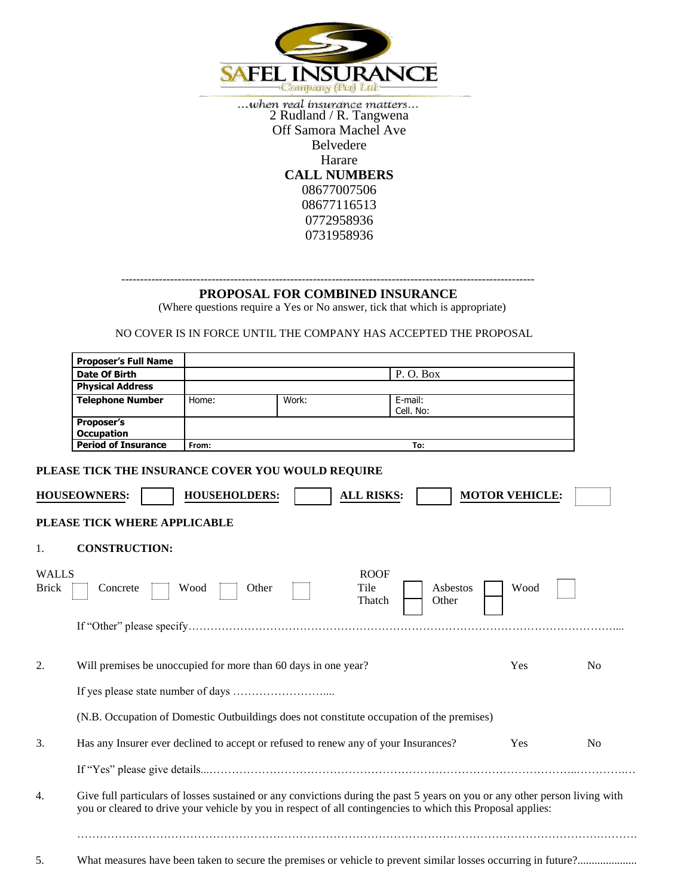

 $\dots when\ real\ insurance\ matters \dots\\ 2\ Rudland/R.\ Tangwena$ Off Samora Machel Ave Belvedere Harare **CALL NUMBERS** 08677007506 08677116513 0772958936 0731958936

## -------------------------------------------------------------------------------------------------------------- **PROPOSAL FOR COMBINED INSURANCE**

(Where questions require a Yes or No answer, tick that which is appropriate)

NO COVER IS IN FORCE UNTIL THE COMPANY HAS ACCEPTED THE PROPOSAL

|                              | <b>Proposer's Full Name</b>                                    |                      |                                                                                           |                                                                                                                                                                                                                                            |                       |                |
|------------------------------|----------------------------------------------------------------|----------------------|-------------------------------------------------------------------------------------------|--------------------------------------------------------------------------------------------------------------------------------------------------------------------------------------------------------------------------------------------|-----------------------|----------------|
|                              | <b>Date Of Birth</b>                                           |                      |                                                                                           | P.O.Box                                                                                                                                                                                                                                    |                       |                |
|                              | <b>Physical Address</b>                                        |                      |                                                                                           |                                                                                                                                                                                                                                            |                       |                |
|                              | <b>Telephone Number</b>                                        | Home:                | Work:                                                                                     | E-mail:                                                                                                                                                                                                                                    |                       |                |
|                              |                                                                |                      |                                                                                           | Cell. No:                                                                                                                                                                                                                                  |                       |                |
|                              | <b>Proposer's</b>                                              |                      |                                                                                           |                                                                                                                                                                                                                                            |                       |                |
|                              | <b>Occupation</b><br><b>Period of Insurance</b>                |                      |                                                                                           |                                                                                                                                                                                                                                            |                       |                |
|                              |                                                                | From:                |                                                                                           | To:                                                                                                                                                                                                                                        |                       |                |
|                              | PLEASE TICK THE INSURANCE COVER YOU WOULD REQUIRE              |                      |                                                                                           |                                                                                                                                                                                                                                            |                       |                |
|                              | <b>HOUSEOWNERS:</b>                                            | <b>HOUSEHOLDERS:</b> | <b>ALL RISKS:</b>                                                                         |                                                                                                                                                                                                                                            | <b>MOTOR VEHICLE:</b> |                |
|                              | PLEASE TICK WHERE APPLICABLE                                   |                      |                                                                                           |                                                                                                                                                                                                                                            |                       |                |
| 1.                           | <b>CONSTRUCTION:</b>                                           |                      |                                                                                           |                                                                                                                                                                                                                                            |                       |                |
| <b>WALLS</b><br><b>Brick</b> | Concrete                                                       | Other<br>Wood        | <b>ROOF</b><br>Tile<br>Thatch                                                             | Asbestos<br>Other                                                                                                                                                                                                                          | Wood                  |                |
| 2.                           | Will premises be unoccupied for more than 60 days in one year? |                      |                                                                                           |                                                                                                                                                                                                                                            | Yes                   | No             |
|                              |                                                                |                      |                                                                                           |                                                                                                                                                                                                                                            |                       |                |
|                              |                                                                |                      |                                                                                           |                                                                                                                                                                                                                                            |                       |                |
|                              |                                                                |                      | (N.B. Occupation of Domestic Outbuildings does not constitute occupation of the premises) |                                                                                                                                                                                                                                            |                       |                |
|                              |                                                                |                      | Has any Insurer ever declined to accept or refused to renew any of your Insurances?       |                                                                                                                                                                                                                                            | Yes                   | N <sub>o</sub> |
|                              |                                                                |                      |                                                                                           |                                                                                                                                                                                                                                            |                       |                |
|                              |                                                                |                      |                                                                                           | Give full particulars of losses sustained or any convictions during the past 5 years on you or any other person living with<br>you or cleared to drive your vehicle by you in respect of all contingencies to which this Proposal applies: |                       |                |
| 5.                           |                                                                |                      |                                                                                           |                                                                                                                                                                                                                                            |                       |                |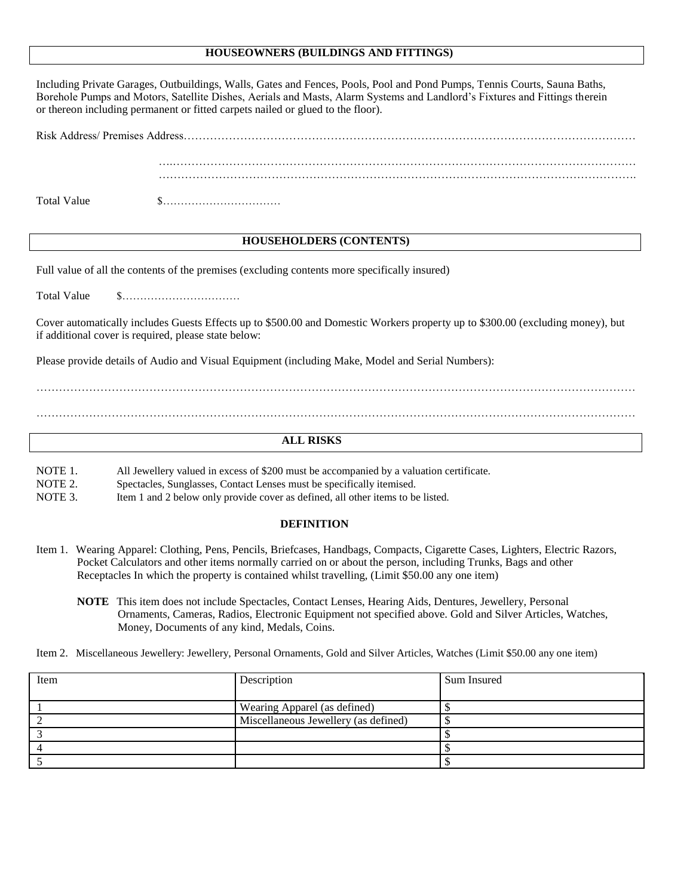## **HOUSEOWNERS (BUILDINGS AND FITTINGS)**

| Including Private Garages, Outbuildings, Walls, Gates and Fences, Pools, Pool and Pond Pumps, Tennis Courts, Sauna Baths,<br>Borehole Pumps and Motors, Satellite Dishes, Aerials and Masts, Alarm Systems and Landlord's Fixtures and Fittings therein<br>or thereon including permanent or fitted carpets nailed or glued to the floor). |                                                                                                                                                                  |  |  |  |  |  |
|--------------------------------------------------------------------------------------------------------------------------------------------------------------------------------------------------------------------------------------------------------------------------------------------------------------------------------------------|------------------------------------------------------------------------------------------------------------------------------------------------------------------|--|--|--|--|--|
|                                                                                                                                                                                                                                                                                                                                            |                                                                                                                                                                  |  |  |  |  |  |
|                                                                                                                                                                                                                                                                                                                                            |                                                                                                                                                                  |  |  |  |  |  |
| <b>Total Value</b>                                                                                                                                                                                                                                                                                                                         | $\$\ldots\ldots\ldots\ldots\ldots\ldots\ldots\ldots\ldots\ldots$                                                                                                 |  |  |  |  |  |
| <b>HOUSEHOLDERS (CONTENTS)</b>                                                                                                                                                                                                                                                                                                             |                                                                                                                                                                  |  |  |  |  |  |
| Full value of all the contents of the premises (excluding contents more specifically insured)                                                                                                                                                                                                                                              |                                                                                                                                                                  |  |  |  |  |  |
| <b>Total Value</b><br>$\$\ldots\ldots\ldots\ldots\ldots\ldots\ldots\ldots\ldots\ldots$                                                                                                                                                                                                                                                     |                                                                                                                                                                  |  |  |  |  |  |
| Cover automatically includes Guests Effects up to \$500.00 and Domestic Workers property up to \$300.00 (excluding money), but<br>if additional cover is required, please state below:                                                                                                                                                     |                                                                                                                                                                  |  |  |  |  |  |
| Please provide details of Audio and Visual Equipment (including Make, Model and Serial Numbers):                                                                                                                                                                                                                                           |                                                                                                                                                                  |  |  |  |  |  |
|                                                                                                                                                                                                                                                                                                                                            |                                                                                                                                                                  |  |  |  |  |  |
|                                                                                                                                                                                                                                                                                                                                            |                                                                                                                                                                  |  |  |  |  |  |
| <b>ALL RISKS</b>                                                                                                                                                                                                                                                                                                                           |                                                                                                                                                                  |  |  |  |  |  |
| NOTE 1.<br>NOTE 2.                                                                                                                                                                                                                                                                                                                         | All Jewellery valued in excess of \$200 must be accompanied by a valuation certificate.<br>Spectacles, Sunglasses, Contact Lenses must be specifically itemised. |  |  |  |  |  |

NOTE 3. Item 1 and 2 below only provide cover as defined, all other items to be listed.

## **DEFINITION**

- Item 1. Wearing Apparel: Clothing, Pens, Pencils, Briefcases, Handbags, Compacts, Cigarette Cases, Lighters, Electric Razors, Pocket Calculators and other items normally carried on or about the person, including Trunks, Bags and other Receptacles In which the property is contained whilst travelling, (Limit \$50.00 any one item)
	- **NOTE** This item does not include Spectacles, Contact Lenses, Hearing Aids, Dentures, Jewellery, Personal Ornaments, Cameras, Radios, Electronic Equipment not specified above. Gold and Silver Articles, Watches, Money, Documents of any kind, Medals, Coins.
- Item 2. Miscellaneous Jewellery: Jewellery, Personal Ornaments, Gold and Silver Articles, Watches (Limit \$50.00 any one item)

| Item | Description                          | Sum Insured |
|------|--------------------------------------|-------------|
|      |                                      |             |
|      | Wearing Apparel (as defined)         |             |
|      | Miscellaneous Jewellery (as defined) |             |
|      |                                      |             |
|      |                                      |             |
|      |                                      |             |